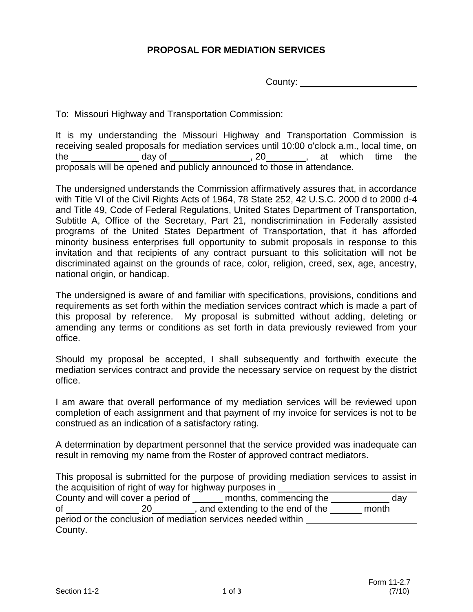## **PROPOSAL FOR MEDIATION SERVICES**

County:

To: Missouri Highway and Transportation Commission:

It is my understanding the Missouri Highway and Transportation Commission is receiving sealed proposals for mediation services until 10:00 o'clock a.m., local time, on the  $\qquad \qquad$  day of  $\qquad \qquad$ , 20  $\qquad \qquad$ , at which time the proposals will be opened and publicly announced to those in attendance.

The undersigned understands the Commission affirmatively assures that, in accordance with Title VI of the Civil Rights Acts of 1964, 78 State 252, 42 U.S.C. 2000 d to 2000 d-4 and Title 49, Code of Federal Regulations, United States Department of Transportation, Subtitle A, Office of the Secretary, Part 21, nondiscrimination in Federally assisted programs of the United States Department of Transportation, that it has afforded minority business enterprises full opportunity to submit proposals in response to this invitation and that recipients of any contract pursuant to this solicitation will not be discriminated against on the grounds of race, color, religion, creed, sex, age, ancestry, national origin, or handicap.

The undersigned is aware of and familiar with specifications, provisions, conditions and requirements as set forth within the mediation services contract which is made a part of this proposal by reference. My proposal is submitted without adding, deleting or amending any terms or conditions as set forth in data previously reviewed from your office.

Should my proposal be accepted, I shall subsequently and forthwith execute the mediation services contract and provide the necessary service on request by the district office.

I am aware that overall performance of my mediation services will be reviewed upon completion of each assignment and that payment of my invoice for services is not to be construed as an indication of a satisfactory rating.

A determination by department personnel that the service provided was inadequate can result in removing my name from the Roster of approved contract mediators.

This proposal is submitted for the purpose of providing mediation services to assist in the acquisition of right of way for highway purposes in

|                                                              | County and will cover a period of | months, commencing the            | dav   |
|--------------------------------------------------------------|-----------------------------------|-----------------------------------|-------|
| οf                                                           | 20                                | , and extending to the end of the | month |
| period or the conclusion of mediation services needed within |                                   |                                   |       |
| County.                                                      |                                   |                                   |       |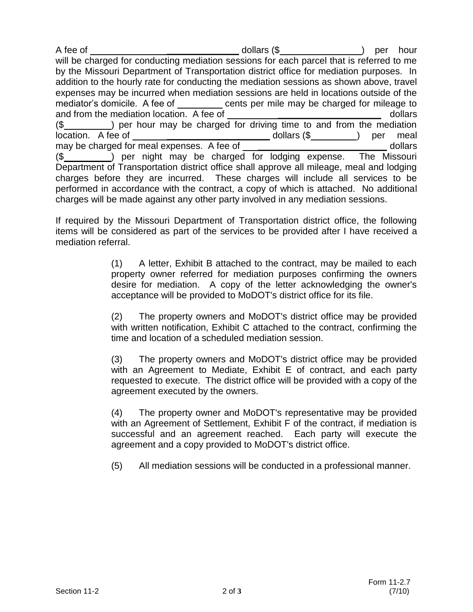A fee of **A** fee of **A** is a set of the set of the dollars (\$ ) per hour will be charged for conducting mediation sessions for each parcel that is referred to me by the Missouri Department of Transportation district office for mediation purposes. In addition to the hourly rate for conducting the mediation sessions as shown above, travel expenses may be incurred when mediation sessions are held in locations outside of the mediator's domicile. A fee of cents per mile may be charged for mileage to and from the mediation location. A fee of **and from the mediation location.** A fee of (\$ ) per hour may be charged for driving time to and from the mediation location. A fee of **\_\_\_\_\_\_\_\_\_\_\_\_\_\_\_\_\_\_\_\_** dollars (\$) per meal may be charged for meal expenses. A fee of **with all and the contract of the contract of the contract of the contract of the contract of the contract of dollars** (\$\_\_\_\_\_\_\_\_\_\_\_) per night may be charged for lodging expense. The Missouri Department of Transportation district office shall approve all mileage, meal and lodging charges before they are incurred. These charges will include all services to be performed in accordance with the contract, a copy of which is attached. No additional charges will be made against any other party involved in any mediation sessions.

If required by the Missouri Department of Transportation district office, the following items will be considered as part of the services to be provided after I have received a mediation referral.

> (1) A letter, Exhibit B attached to the contract, may be mailed to each property owner referred for mediation purposes confirming the owners desire for mediation. A copy of the letter acknowledging the owner's acceptance will be provided to MoDOT's district office for its file.

> (2) The property owners and MoDOT's district office may be provided with written notification, Exhibit C attached to the contract, confirming the time and location of a scheduled mediation session.

> (3) The property owners and MoDOT's district office may be provided with an Agreement to Mediate, Exhibit E of contract, and each party requested to execute. The district office will be provided with a copy of the agreement executed by the owners.

> (4) The property owner and MoDOT's representative may be provided with an Agreement of Settlement, Exhibit F of the contract, if mediation is successful and an agreement reached. Each party will execute the agreement and a copy provided to MoDOT's district office.

(5) All mediation sessions will be conducted in a professional manner.